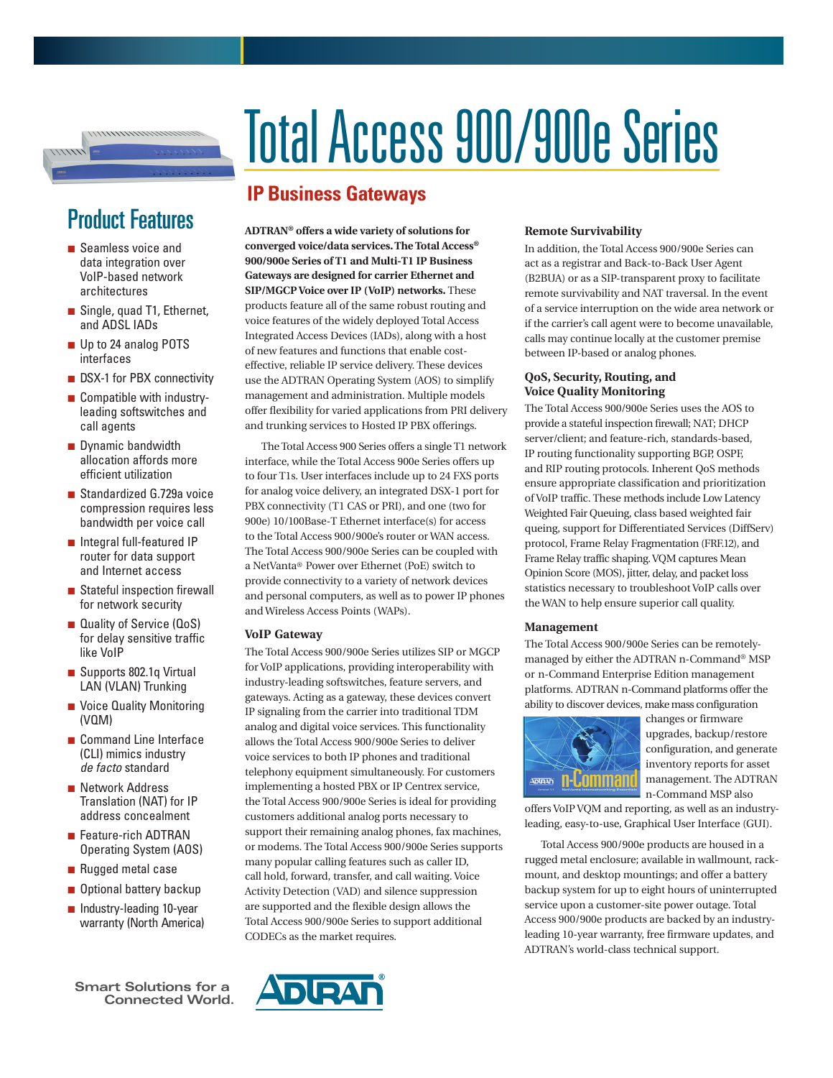# Total Access 900/900e Series

# **IP Business Gateways**

**ADTRAN® offers a wide variety of solutions for converged voice/data services. The Total Access® 900/900e Series of T1 and Multi-T1 IP Business Gateways are designed for carrier Ethernet and SIP/MGCP Voice over IP (VoIP) networks.** These products feature all of the same robust routing and voice features of the widely deployed Total Access Integrated Access Devices (IADs), along with a host of new features and functions that enable costeffective, reliable IP service delivery. These devices use the ADTRAN Operating System (AOS) to simplify management and administration. Multiple models offer flexibility for varied applications from PRI delivery and trunking services to Hosted IP PBX offerings.

The Total Access 900 Series offers a single T1 network interface, while the Total Access 900e Series offers up to four T1s. User interfaces include up to 24 FXS ports for analog voice delivery, an integrated DSX-1 port for PBX connectivity (T1 CAS or PRI), and one (two for 900e) 10/100Base-T Ethernet interface(s) for access to the Total Access 900/900e's router or WAN access. The Total Access 900/900e Series can be coupled with a NetVanta® Power over Ethernet (PoE) switch to provide connectivity to a variety of network devices and personal computers, as well as to power IP phones and Wireless Access Points (WAPs).

### **VoIP Gateway**

The Total Access 900/900e Series utilizes SIP or MGCP for VoIP applications, providing interoperability with industry-leading softswitches, feature servers, and gateways. Acting as a gateway, these devices convert IP signaling from the carrier into traditional TDM analog and digital voice services. This functionality allows the Total Access 900/900e Series to deliver voice services to both IP phones and traditional telephony equipment simultaneously. For customers implementing a hosted PBX or IP Centrex service, the Total Access 900/900e Series is ideal for providing customers additional analog ports necessary to support their remaining analog phones, fax machines, or modems. The Total Access 900/900e Series supports many popular calling features such as caller ID, call hold, forward, transfer, and call waiting. Voice Activity Detection (VAD) and silence suppression are supported and the flexible design allows the Total Access 900/900e Series to support additional CODECs as the market requires.

**Remote Survivability**

In addition, the Total Access 900/900e Series can act as a registrar and Back-to-Back User Agent (B2BUA) or as a SIP-transparent proxy to facilitate remote survivability and NAT traversal. In the event of a service interruption on the wide area network or if the carrier's call agent were to become unavailable, calls may continue locally at the customer premise between IP-based or analog phones.

### **QoS, Security, Routing, and Voice Quality Monitoring**

The Total Access 900/900e Series uses the AOS to provide a stateful inspection firewall; NAT; DHCP server/client; and feature-rich, standards-based, IP routing functionality supporting BGP, OSPF, and RIP routing protocols. Inherent QoS methods ensure appropriate classification and prioritization of VoIP traffic. These methods include Low Latency Weighted Fair Queuing, class based weighted fair queing, support for Differentiated Services (DiffServ) protocol, Frame Relay Fragmentation (FRF.12), and Frame Relay traffic shaping. VQM captures Mean Opinion Score (MOS), jitter, delay, and packet loss statistics necessary to troubleshoot VoIP calls over the WAN to help ensure superior call quality.

### **Management**

The Total Access 900/900e Series can be remotelymanaged by either the ADTRAN n-Command® MSP or n-Command Enterprise Edition management platforms. ADTRAN n-Command platforms offer the ability to discover devices, make mass configuration



changes or firmware upgrades, backup/restore configuration, and generate inventory reports for asset management. The ADTRAN n-Command MSP also

offers VoIP VQM and reporting, as well as an industryleading, easy-to-use, Graphical User Interface (GUI).

Total Access 900/900e products are housed in a rugged metal enclosure; available in wallmount, rackmount, and desktop mountings; and offer a battery backup system for up to eight hours of uninterrupted service upon a customer-site power outage. Total Access 900/900e products are backed by an industryleading 10-year warranty, free firmware updates, and ADTRAN's world-class technical support.

# Product Features

 $11111$ 

- Seamless voice and data integration over VoIP-based network architectures
- Single, quad T1, Ethernet, and ADSL IADs
- Up to 24 analog POTS interfaces
- DSX-1 for PBX connectivity
- Compatible with industryleading softswitches and call agents
- Dynamic bandwidth allocation affords more efficient utilization
- Standardized G.729a voice compression requires less bandwidth per voice call
- Integral full-featured IP router for data support and Internet access
- Stateful inspection firewall for network security
- Quality of Service (QoS) for delay sensitive traffic like VoIP
- Supports 802.1q Virtual LAN (VLAN) Trunking
- Voice Quality Monitoring (VQM)
- Command Line Interface (CLI) mimics industry *de facto* standard
- Network Address Translation (NAT) for IP address concealment
- Feature-rich ADTRAN Operating System (AOS)
- Rugged metal case
- Optional battery backup
- Industry-leading 10-year warranty (North America)

**Smart Solutions for a Connected World.**

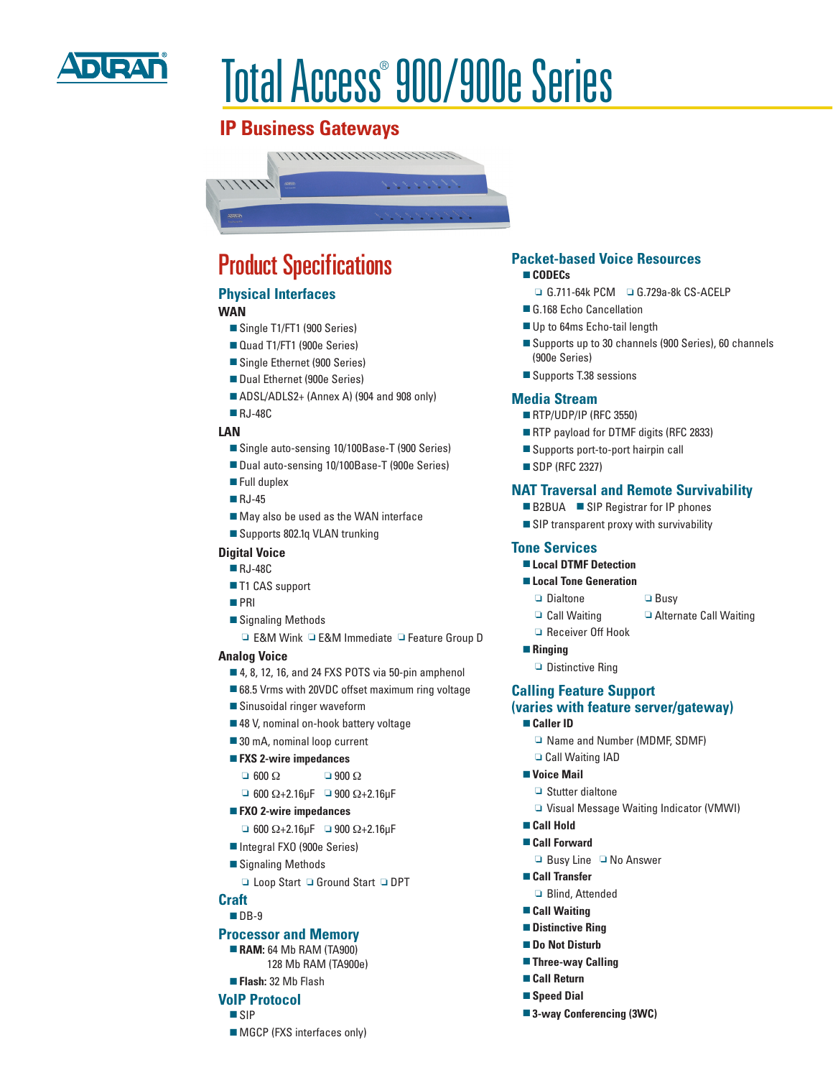

# Total Access® 900/900e Series

# **IP Business Gateways**



# Product Specifications

## **Physical Interfaces**

### **WAN**

- Single T1/FT1 (900 Series)
- Quad T1/FT1 (900e Series)
- Single Ethernet (900 Series)
- Dual Ethernet (900e Series)
- ADSL/ADLS2+ (Annex A) (904 and 908 only)
- RJ-48C

### **LAN**

- Single auto-sensing 10/100Base-T (900 Series)
- Dual auto-sensing 10/100Base-T (900e Series)
- Full duplex
- RJ-45
- May also be used as the WAN interface
- Supports 802.1q VLAN trunking

### **Digital Voice**

- RJ-48C
- T1 CAS support
- PRI
- Signaling Methods
- ❏ E&M Wink ❏ E&M Immediate ❏ Feature Group D

### **Analog Voice**

- 4, 8, 12, 16, and 24 FXS POTS via 50-pin amphenol
- 68.5 Vrms with 20VDC offset maximum ring voltage
- Sinusoidal ringer waveform
- 48 V, nominal on-hook battery voltage
- 30 mA, nominal loop current
- **FXS 2-wire impedances**
	- $\Box$  600  $\Omega$   $\Box$  900  $\Omega$
	- $\Box$  600 Ω+2.16μF  $\Box$  900 Ω+2.16μF
- **FXO 2-wire impedances**
	- $\Box$  600  $\Omega$ +2.16 $\mu$ F  $\Box$  900  $\Omega$ +2.16 $\mu$ F
- Integral FXO (900e Series)
- Signaling Methods
	- ❏ Loop Start ❏ Ground Start ❏ DPT

### **Craft**

### ■ DB-9

### **Processor and Memory**

- **RAM:** 64 Mb RAM (TA900) 128 Mb RAM (TA900e)
- **Flash:** 32 Mb Flash

### **VoIP Protocol**

- SIP
- MGCP (FXS interfaces only)

## **Packet-based Voice Resources**

- **CODECs** 
	- ❏ G.711-64k PCM ❏ G.729a-8k CS-ACELP
- G.168 Echo Cancellation
- Up to 64ms Echo-tail length
- Supports up to 30 channels (900 Series), 60 channels (900e Series)
- Supports T.38 sessions

### **Media Stream**

- **RTP/UDP/IP (RFC 3550)**
- RTP payload for DTMF digits (RFC 2833)
- Supports port-to-port hairpin call
- SDP (RFC 2327)

### **NAT Traversal and Remote Survivability**

- B2BUA SIP Registrar for IP phones
- SIP transparent proxy with survivability

### **Tone Services**

- **Local DTMF Detection**
- **Local Tone Generation** 
	- ❏ Dialtone ❏ Busy
	-
	- ❏ Call Waiting ❏ Alternate Call Waiting
- **Ringing**
	- ❏ Distinctive Ring

### **Calling Feature Support (varies with feature server/gateway)**

- **Caller ID**
	- ❏ Name and Number (MDMF, SDMF)
	- ❏ Call Waiting IAD
- **Voice Mail**
	- ❏ Stutter dialtone
	- ❏ Visual Message Waiting Indicator (VMWI)
- **Call Hold**
- **Call Forward**
	- ❏ Busy Line ❏ No Answer
- **Call Transfer**
	- ❏ Blind, Attended
- **Call Waiting**
- **Distinctive Ring**
- **Do Not Disturb**
- **Three-way Calling**
- **Call Return**
- **Speed Dial**
- **3-way Conferencing (3WC)**

# ❏ Receiver Off Hook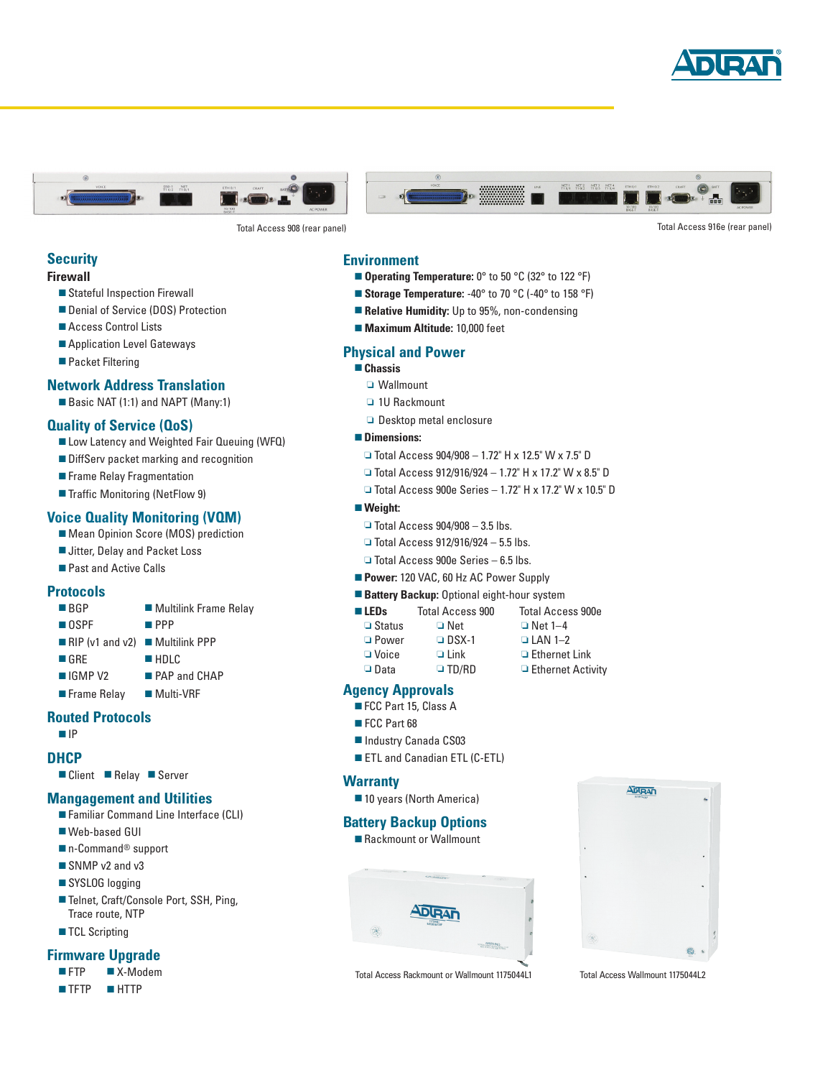





Total Access 908 (rear panel) Total Access 916e (rear panel)

### **Security**

### **Firewall**

- Stateful Inspection Firewall
- Denial of Service (DOS) Protection
- Access Control Lists
- Application Level Gateways
- Packet Filtering

### **Network Address Translation**

■ Basic NAT (1:1) and NAPT (Many:1)

### **Quality of Service (QoS)**

- Low Latency and Weighted Fair Queuing (WFQ) ■ DiffServ packet marking and recognition
- Frame Relay Fragmentation
- Traffic Monitoring (NetFlow 9)

### **Voice Quality Monitoring (VQM)**

- Mean Opinion Score (MOS) prediction
- Jitter, Delay and Packet Loss
- Past and Active Calls

### **Protocols**

- BGP Multilink Frame Relay
- OSPF PPP
- RIP (v1 and v2) Multilink PPP
- GRE HDLC
- IGMP V2 PAP and CHAP
- Frame Relay Multi-VRF

### **Routed Protocols**

### ■ IP

**DHCP**

■ Client ■ Relay ■ Server

### **Mangagement and Utilities**

- Familiar Command Line Interface (CLI)
- Web-based GUI
- n-Command<sup>®</sup> support
- SNMP v2 and v3
- SYSLOG logging
- Telnet, Craft/Console Port, SSH, Ping, Trace route, NTP
- TCL Scripting

### **Firmware Upgrade**

- FTP X-Modem
- TFTP HTTP

### **Environment**

- **Operating Temperature:** 0° to 50 °C (32° to 122 °F)
- **Storage Temperature:** -40° to 70 °C (-40° to 158 °F)
- **Relative Humidity:** Up to 95%, non-condensing
- **Maximum Altitude:** 10,000 feet

### **Physical and Power**

### ■ **Chassis**

- ❏ Wallmount
- ❏ 1U Rackmount
- ❏ Desktop metal enclosure

### ■ **Dimensions:**

- ❏ Total Access 904/908 1.72" H x 12.5" W x 7.5" D
- ❏ Total Access 912/916/924 1.72" H x 17.2" W x 8.5" D
- ❏ Total Access 900e Series 1.72" H x 17.2" W x 10.5" D
- **Weight:**
	- $\Box$  Total Access 904/908 3.5 lbs.
	- ❏ Total Access 912/916/924 5.5 lbs.
	- ❏ Total Access 900e Series 6.5 lbs.
- **Power:** 120 VAC, 60 Hz AC Power Supply
- **Battery Backup:** Optional eight-hour system

| <b>LEDs</b> | Total Access 900 | <b>Total Access 900e</b> |
|-------------|------------------|--------------------------|
|             |                  |                          |

- ❏ Power ❏ DSX-1 ❏ LAN 1–2 ❏ Voice ❏ Link ❏ Ethernet Link ❏ Data ❏ TD/RD ❏ Ethernet Activity
- ❏ Status ❏ Net ❏ Net 1–4

### **Agency Approvals**

- FCC Part 15, Class A
- FCC Part 68
- Industry Canada CS03
- ETL and Canadian ETL (C-ETL)

### **Warranty**

■ 10 years (North America)

### **Battery Backup Options**

■ Rackmount or Wallmount



Total Access Rackmount or Wallmount 1175044L1 Total Access Wallmount 1175044L2